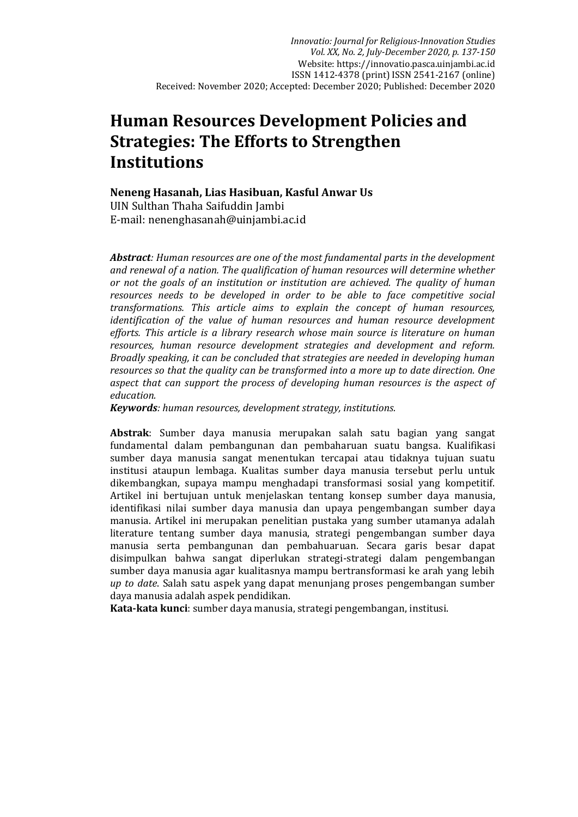# **Human Resources Development Policies and Strategies: The Efforts to Strengthen Institutions**

**Neneng Hasanah, Lias Hasibuan, Kasful Anwar Us** UIN Sulthan Thaha Saifuddin Jambi E-mail[: nenenghasanah@uinjambi.ac.id](mailto:asnawiah533@gmail.com)

*Abstract: Human resources are one of the most fundamental parts in the development and renewal of a nation. The qualification of human resources will determine whether or not the goals of an institution or institution are achieved. The quality of human resources needs to be developed in order to be able to face competitive social transformations. This article aims to explain the concept of human resources, identification of the value of human resources and human resource development efforts. This article is a library research whose main source is literature on human resources, human resource development strategies and development and reform. Broadly speaking, it can be concluded that strategies are needed in developing human resources so that the quality can be transformed into a more up to date direction. One aspect that can support the process of developing human resources is the aspect of education.*

*Keywords: human resources, development strategy, institutions.*

**Abstrak**: Sumber daya manusia merupakan salah satu bagian yang sangat fundamental dalam pembangunan dan pembaharuan suatu bangsa. Kualifikasi sumber daya manusia sangat menentukan tercapai atau tidaknya tujuan suatu institusi ataupun lembaga. Kualitas sumber daya manusia tersebut perlu untuk dikembangkan, supaya mampu menghadapi transformasi sosial yang kompetitif. Artikel ini bertujuan untuk menjelaskan tentang konsep sumber daya manusia, identifikasi nilai sumber daya manusia dan upaya pengembangan sumber daya manusia. Artikel ini merupakan penelitian pustaka yang sumber utamanya adalah literature tentang sumber daya manusia, strategi pengembangan sumber daya manusia serta pembangunan dan pembahuaruan. Secara garis besar dapat disimpulkan bahwa sangat diperlukan strategi-strategi dalam pengembangan sumber daya manusia agar kualitasnya mampu bertransformasi ke arah yang lebih *up to date*. Salah satu aspek yang dapat menunjang proses pengembangan sumber daya manusia adalah aspek pendidikan.

**Kata-kata kunci**: sumber daya manusia, strategi pengembangan, institusi.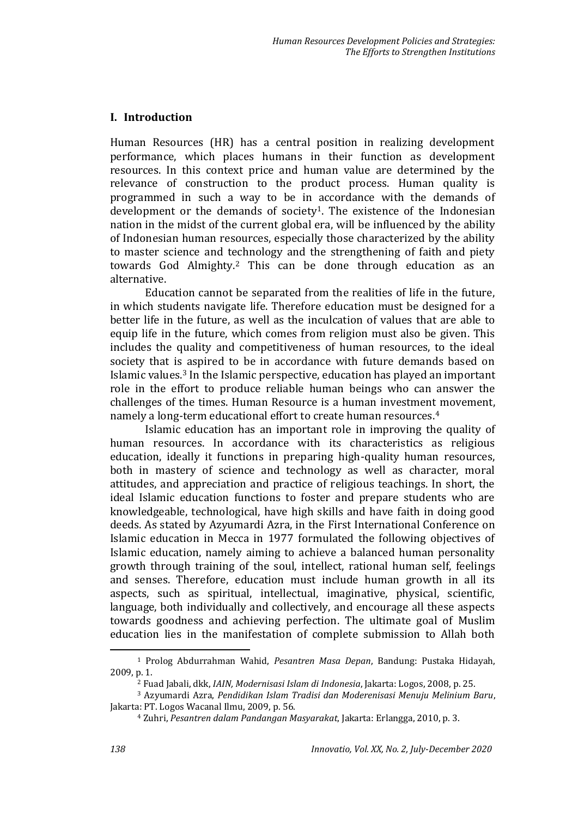# **I. Introduction**

Human Resources (HR) has a central position in realizing development performance, which places humans in their function as development resources. In this context price and human value are determined by the relevance of construction to the product process. Human quality is programmed in such a way to be in accordance with the demands of development or the demands of society<sup>1</sup>. The existence of the Indonesian nation in the midst of the current global era, will be influenced by the ability of Indonesian human resources, especially those characterized by the ability to master science and technology and the strengthening of faith and piety towards God Almighty.<sup>2</sup> This can be done through education as an alternative.

Education cannot be separated from the realities of life in the future, in which students navigate life. Therefore education must be designed for a better life in the future, as well as the inculcation of values that are able to equip life in the future, which comes from religion must also be given. This includes the quality and competitiveness of human resources, to the ideal society that is aspired to be in accordance with future demands based on Islamic values.<sup>3</sup> In the Islamic perspective, education has played an important role in the effort to produce reliable human beings who can answer the challenges of the times. Human Resource is a human investment movement, namely a long-term educational effort to create human resources.<sup>4</sup>

Islamic education has an important role in improving the quality of human resources. In accordance with its characteristics as religious education, ideally it functions in preparing high-quality human resources, both in mastery of science and technology as well as character, moral attitudes, and appreciation and practice of religious teachings. In short, the ideal Islamic education functions to foster and prepare students who are knowledgeable, technological, have high skills and have faith in doing good deeds. As stated by Azyumardi Azra, in the First International Conference on Islamic education in Mecca in 1977 formulated the following objectives of Islamic education, namely aiming to achieve a balanced human personality growth through training of the soul, intellect, rational human self, feelings and senses. Therefore, education must include human growth in all its aspects, such as spiritual, intellectual, imaginative, physical, scientific, language, both individually and collectively, and encourage all these aspects towards goodness and achieving perfection. The ultimate goal of Muslim education lies in the manifestation of complete submission to Allah both

<sup>1</sup> Prolog Abdurrahman Wahid, *Pesantren Masa Depan*, Bandung: Pustaka Hidayah, 2009, p. 1.

<sup>2</sup> Fuad Jabali, dkk, *IAIN, Modernisasi Islam di Indonesia*, Jakarta: Logos, 2008, p. 25.

<sup>3</sup> Azyumardi Azra, *Pendidikan Islam Tradisi dan Moderenisasi Menuju Melinium Baru*, Jakarta: PT. Logos Wacanal Ilmu, 2009, p. 56.

<sup>4</sup> Zuhri, *Pesantren dalam Pandangan Masyarakat*, Jakarta: Erlangga, 2010, p. 3.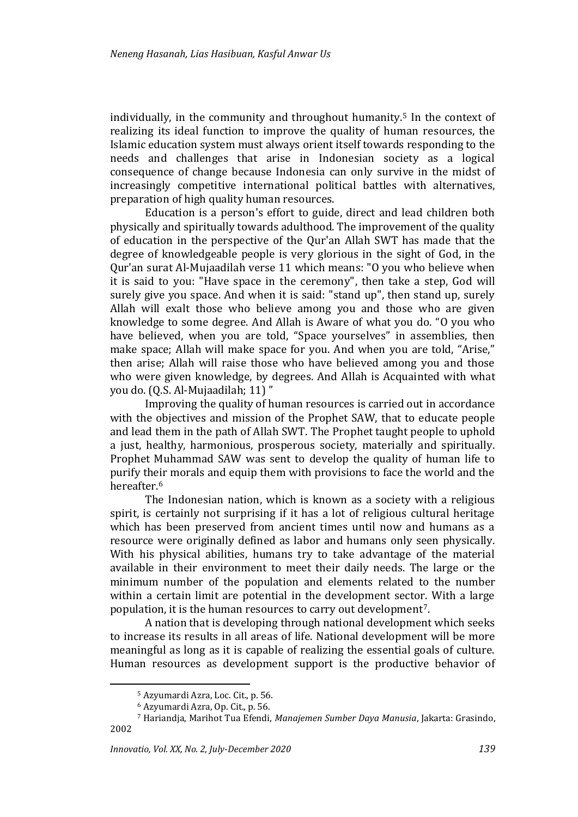individually, in the community and throughout humanity.<sup>5</sup> In the context of realizing its ideal function to improve the quality of human resources, the Islamic education system must always orient itself towards responding to the needs and challenges that arise in Indonesian society as a logical consequence of change because Indonesia can only survive in the midst of increasingly competitive international political battles with alternatives, preparation of high quality human resources.

Education is a person's effort to guide, direct and lead children both physically and spiritually towards adulthood. The improvement of the quality of education in the perspective of the Qur'an Allah SWT has made that the degree of knowledgeable people is very glorious in the sight of God, in the Qur'an surat Al-Mujaadilah verse 11 which means: "O you who believe when it is said to you: "Have space in the ceremony", then take a step, God will surely give you space. And when it is said: "stand up", then stand up, surely Allah will exalt those who believe among you and those who are given knowledge to some degree. And Allah is Aware of what you do. "O you who have believed, when you are told, "Space yourselves" in assemblies, then make space; Allah will make space for you. And when you are told, "Arise," then arise; Allah will raise those who have believed among you and those who were given knowledge, by degrees. And Allah is Acquainted with what you do. (Q.S. Al-Mujaadilah; 11) "

Improving the quality of human resources is carried out in accordance with the objectives and mission of the Prophet SAW, that to educate people and lead them in the path of Allah SWT. The Prophet taught people to uphold a just, healthy, harmonious, prosperous society, materially and spiritually. Prophet Muhammad SAW was sent to develop the quality of human life to purify their morals and equip them with provisions to face the world and the hereafter.<sup>6</sup>

The Indonesian nation, which is known as a society with a religious spirit, is certainly not surprising if it has a lot of religious cultural heritage which has been preserved from ancient times until now and humans as a resource were originally defined as labor and humans only seen physically. With his physical abilities, humans try to take advantage of the material available in their environment to meet their daily needs. The large or the minimum number of the population and elements related to the number within a certain limit are potential in the development sector. With a large population, it is the human resources to carry out development7.

A nation that is developing through national development which seeks to increase its results in all areas of life. National development will be more meaningful as long as it is capable of realizing the essential goals of culture. Human resources as development support is the productive behavior of

<sup>5</sup> Azyumardi Azra, Loc. Cit., p. 56.

<sup>6</sup> Azyumardi Azra, Op. Cit., p. 56.

<sup>7</sup> Hariandja, Marihot Tua Efendi, *Manajemen Sumber Daya Manusia*, Jakarta: Grasindo, 2002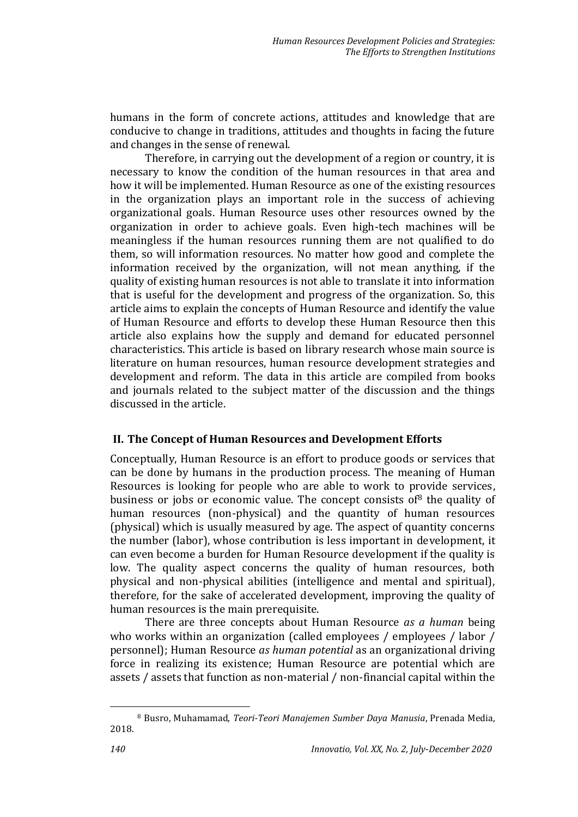humans in the form of concrete actions, attitudes and knowledge that are conducive to change in traditions, attitudes and thoughts in facing the future and changes in the sense of renewal.

Therefore, in carrying out the development of a region or country, it is necessary to know the condition of the human resources in that area and how it will be implemented. Human Resource as one of the existing resources in the organization plays an important role in the success of achieving organizational goals. Human Resource uses other resources owned by the organization in order to achieve goals. Even high-tech machines will be meaningless if the human resources running them are not qualified to do them, so will information resources. No matter how good and complete the information received by the organization, will not mean anything, if the quality of existing human resources is not able to translate it into information that is useful for the development and progress of the organization. So, this article aims to explain the concepts of Human Resource and identify the value of Human Resource and efforts to develop these Human Resource then this article also explains how the supply and demand for educated personnel characteristics. This article is based on library research whose main source is literature on human resources, human resource development strategies and development and reform. The data in this article are compiled from books and journals related to the subject matter of the discussion and the things discussed in the article.

# **II. The Concept of Human Resources and Development Efforts**

Conceptually, Human Resource is an effort to produce goods or services that can be done by humans in the production process. The meaning of Human Resources is looking for people who are able to work to provide services, business or jobs or economic value. The concept consists of<sup>8</sup> the quality of human resources (non-physical) and the quantity of human resources (physical) which is usually measured by age. The aspect of quantity concerns the number (labor), whose contribution is less important in development, it can even become a burden for Human Resource development if the quality is low. The quality aspect concerns the quality of human resources, both physical and non-physical abilities (intelligence and mental and spiritual), therefore, for the sake of accelerated development, improving the quality of human resources is the main prerequisite.

There are three concepts about Human Resource *as a human* being who works within an organization (called employees / employees / labor / personnel); Human Resource *as human potential* as an organizational driving force in realizing its existence; Human Resource are potential which are assets / assets that function as non-material / non-financial capital within the

<sup>8</sup> Busro, Muhamamad, *Teori-Teori Manajemen Sumber Daya Manusia*, Prenada Media, 2018.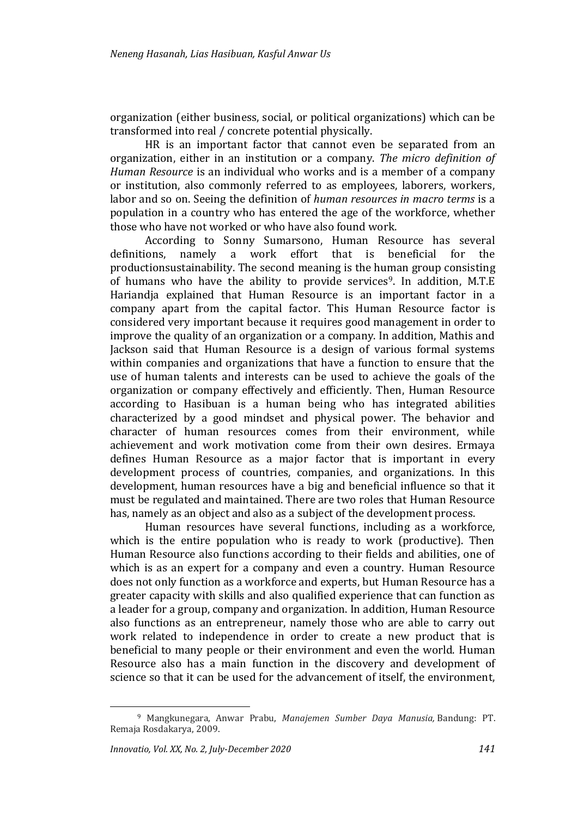organization (either business, social, or political organizations) which can be transformed into real / concrete potential physically.

HR is an important factor that cannot even be separated from an organization, either in an institution or a company. *The micro definition of Human Resource* is an individual who works and is a member of a company or institution, also commonly referred to as employees, laborers, workers, labor and so on. Seeing the definition of *human resources in macro terms* is a population in a country who has entered the age of the workforce, whether those who have not worked or who have also found work.

According to Sonny Sumarsono, Human Resource has several definitions, namely a work effort that is beneficial for the productionsustainability. The second meaning is the human group consisting of humans who have the ability to provide services<sup>9</sup>. In addition, M.T.E Hariandja explained that Human Resource is an important factor in a company apart from the capital factor. This Human Resource factor is considered very important because it requires good management in order to improve the quality of an organization or a company. In addition, Mathis and Jackson said that Human Resource is a design of various formal systems within companies and organizations that have a function to ensure that the use of human talents and interests can be used to achieve the goals of the organization or company effectively and efficiently. Then, Human Resource according to Hasibuan is a human being who has integrated abilities characterized by a good mindset and physical power. The behavior and character of human resources comes from their environment, while achievement and work motivation come from their own desires. Ermaya defines Human Resource as a major factor that is important in every development process of countries, companies, and organizations. In this development, human resources have a big and beneficial influence so that it must be regulated and maintained. There are two roles that Human Resource has, namely as an object and also as a subject of the development process.

Human resources have several functions, including as a workforce, which is the entire population who is ready to work (productive). Then Human Resource also functions according to their fields and abilities, one of which is as an expert for a company and even a country. Human Resource does not only function as a workforce and experts, but Human Resource has a greater capacity with skills and also qualified experience that can function as a leader for a group, company and organization. In addition, Human Resource also functions as an entrepreneur, namely those who are able to carry out work related to independence in order to create a new product that is beneficial to many people or their environment and even the world. Human Resource also has a main function in the discovery and development of science so that it can be used for the advancement of itself, the environment,

<sup>9</sup> Mangkunegara, Anwar Prabu, *Manajemen Sumber Daya Manusia,* Bandung: PT. Remaja Rosdakarya, 2009.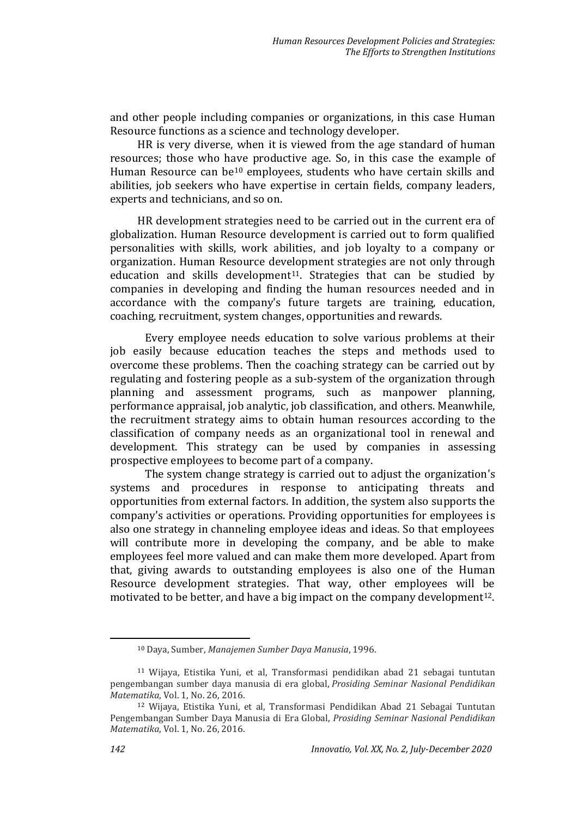and other people including companies or organizations, in this case Human Resource functions as a science and technology developer.

HR is very diverse, when it is viewed from the age standard of human resources; those who have productive age. So, in this case the example of Human Resource can be<sup>10</sup> employees, students who have certain skills and abilities, job seekers who have expertise in certain fields, company leaders, experts and technicians, and so on.

HR development strategies need to be carried out in the current era of globalization. Human Resource development is carried out to form qualified personalities with skills, work abilities, and job loyalty to a company or organization. Human Resource development strategies are not only through education and skills development<sup>11</sup>. Strategies that can be studied by companies in developing and finding the human resources needed and in accordance with the company's future targets are training, education, coaching, recruitment, system changes, opportunities and rewards.

Every employee needs education to solve various problems at their job easily because education teaches the steps and methods used to overcome these problems. Then the coaching strategy can be carried out by regulating and fostering people as a sub-system of the organization through planning and assessment programs, such as manpower planning, performance appraisal, job analytic, job classification, and others. Meanwhile, the recruitment strategy aims to obtain human resources according to the classification of company needs as an organizational tool in renewal and development. This strategy can be used by companies in assessing prospective employees to become part of a company.

The system change strategy is carried out to adjust the organization's systems and procedures in response to anticipating threats and opportunities from external factors. In addition, the system also supports the company's activities or operations. Providing opportunities for employees is also one strategy in channeling employee ideas and ideas. So that employees will contribute more in developing the company, and be able to make employees feel more valued and can make them more developed. Apart from that, giving awards to outstanding employees is also one of the Human Resource development strategies. That way, other employees will be motivated to be better, and have a big impact on the company development 12.

<sup>10</sup> Daya, Sumber, *Manajemen Sumber Daya Manusia*, 1996.

<sup>11</sup> Wijaya, Etistika Yuni, et al, Transformasi pendidikan abad 21 sebagai tuntutan pengembangan sumber daya manusia di era global, *Prosiding Seminar Nasional Pendidikan Matematika*, Vol. 1, No. 26, 2016.

<sup>12</sup> Wijaya, Etistika Yuni, et al, Transformasi Pendidikan Abad 21 Sebagai Tuntutan Pengembangan Sumber Daya Manusia di Era Global, *Prosiding Seminar Nasional Pendidikan Matematika*, Vol. 1, No. 26, 2016.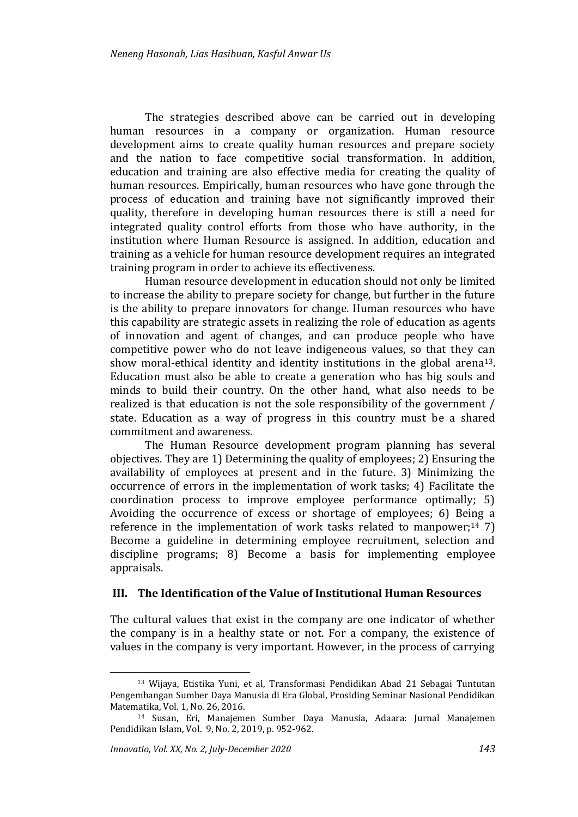The strategies described above can be carried out in developing human resources in a company or organization. Human resource development aims to create quality human resources and prepare society and the nation to face competitive social transformation. In addition, education and training are also effective media for creating the quality of human resources. Empirically, human resources who have gone through the process of education and training have not significantly improved their quality, therefore in developing human resources there is still a need for integrated quality control efforts from those who have authority, in the institution where Human Resource is assigned. In addition, education and training as a vehicle for human resource development requires an integrated training program in order to achieve its effectiveness.

Human resource development in education should not only be limited to increase the ability to prepare society for change, but further in the future is the ability to prepare innovators for change. Human resources who have this capability are strategic assets in realizing the role of education as agents of innovation and agent of changes, and can produce people who have competitive power who do not leave indigeneous values, so that they can show moral-ethical identity and identity institutions in the global arena13. Education must also be able to create a generation who has big souls and minds to build their country. On the other hand, what also needs to be realized is that education is not the sole responsibility of the government / state. Education as a way of progress in this country must be a shared commitment and awareness.

The Human Resource development program planning has several objectives. They are 1) Determining the quality of employees; 2) Ensuring the availability of employees at present and in the future. 3) Minimizing the occurrence of errors in the implementation of work tasks; 4) Facilitate the coordination process to improve employee performance optimally; 5) Avoiding the occurrence of excess or shortage of employees; 6) Being a reference in the implementation of work tasks related to manpower;<sup>14</sup> 7) Become a guideline in determining employee recruitment, selection and discipline programs; 8) Become a basis for implementing employee appraisals.

#### **III. The Identification of the Value of Institutional Human Resources**

The cultural values that exist in the company are one indicator of whether the company is in a healthy state or not. For a company, the existence of values in the company is very important. However, in the process of carrying

<sup>13</sup> Wijaya, Etistika Yuni, et al, Transformasi Pendidikan Abad 21 Sebagai Tuntutan Pengembangan Sumber Daya Manusia di Era Global, Prosiding Seminar Nasional Pendidikan Matematika, Vol. 1, No. 26, 2016.

<sup>14</sup> Susan, Eri, Manajemen Sumber Daya Manusia, Adaara: Jurnal Manajemen Pendidikan Islam, Vol. 9, No. 2, 2019, p. 952-962.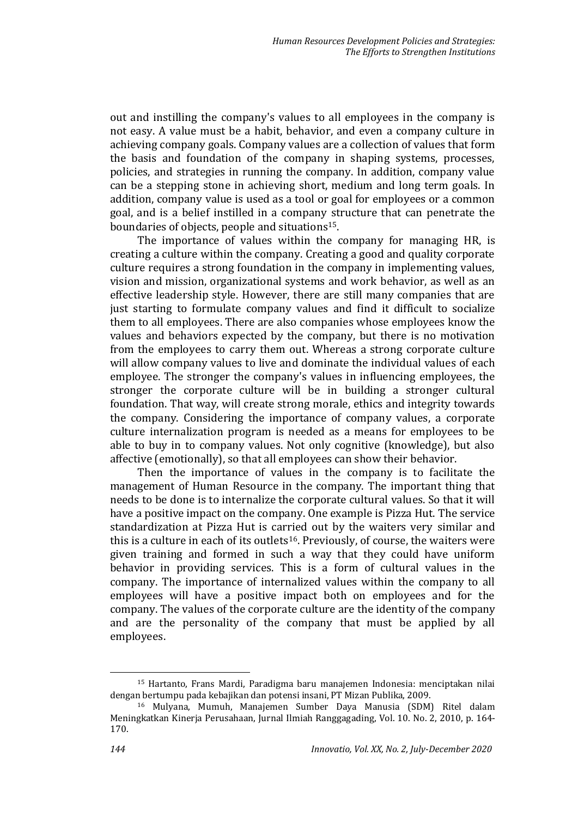out and instilling the company's values to all employees in the company is not easy. A value must be a habit, behavior, and even a company culture in achieving company goals. Company values are a collection of values that form the basis and foundation of the company in shaping systems, processes, policies, and strategies in running the company. In addition, company value can be a stepping stone in achieving short, medium and long term goals. In addition, company value is used as a tool or goal for employees or a common goal, and is a belief instilled in a company structure that can penetrate the boundaries of objects, people and situations15.

The importance of values within the company for managing HR, is creating a culture within the company. Creating a good and quality corporate culture requires a strong foundation in the company in implementing values, vision and mission, organizational systems and work behavior, as well as an effective leadership style. However, there are still many companies that are just starting to formulate company values and find it difficult to socialize them to all employees. There are also companies whose employees know the values and behaviors expected by the company, but there is no motivation from the employees to carry them out. Whereas a strong corporate culture will allow company values to live and dominate the individual values of each employee. The stronger the company's values in influencing employees, the stronger the corporate culture will be in building a stronger cultural foundation. That way, will create strong morale, ethics and integrity towards the company. Considering the importance of company values, a corporate culture internalization program is needed as a means for employees to be able to buy in to company values. Not only cognitive (knowledge), but also affective (emotionally), so that all employees can show their behavior.

Then the importance of values in the company is to facilitate the management of Human Resource in the company. The important thing that needs to be done is to internalize the corporate cultural values. So that it will have a positive impact on the company. One example is Pizza Hut. The service standardization at Pizza Hut is carried out by the waiters very similar and this is a culture in each of its outlets<sup>16</sup>. Previously, of course, the waiters were given training and formed in such a way that they could have uniform behavior in providing services. This is a form of cultural values in the company. The importance of internalized values within the company to all employees will have a positive impact both on employees and for the company. The values of the corporate culture are the identity of the company and are the personality of the company that must be applied by all employees.

<sup>15</sup> Hartanto, Frans Mardi, Paradigma baru manajemen Indonesia: menciptakan nilai dengan bertumpu pada kebajikan dan potensi insani, PT Mizan Publika, 2009.

<sup>16</sup> Mulyana, Mumuh, Manajemen Sumber Daya Manusia (SDM) Ritel dalam Meningkatkan Kinerja Perusahaan, Jurnal Ilmiah Ranggagading, Vol. 10. No. 2, 2010, p. 164- 170.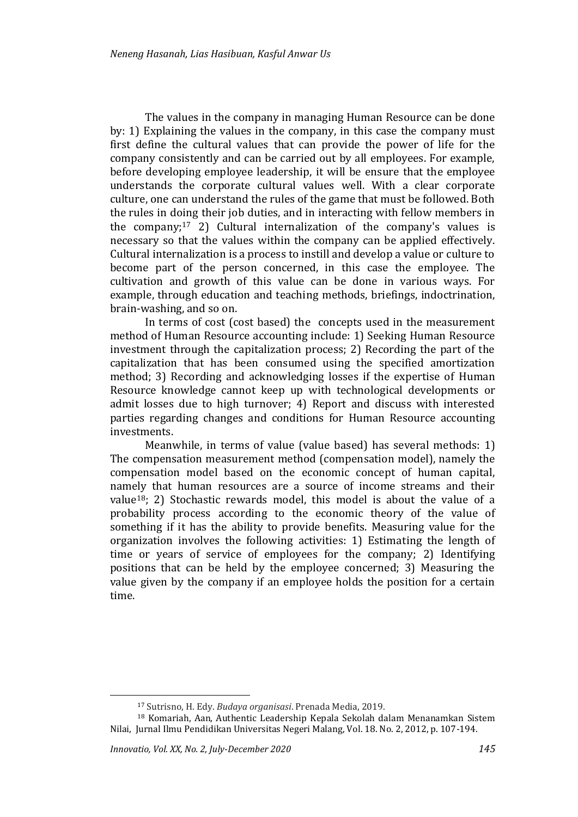The values in the company in managing Human Resource can be done by: 1) Explaining the values in the company, in this case the company must first define the cultural values that can provide the power of life for the company consistently and can be carried out by all employees. For example, before developing employee leadership, it will be ensure that the employee understands the corporate cultural values well. With a clear corporate culture, one can understand the rules of the game that must be followed. Both the rules in doing their job duties, and in interacting with fellow members in the company;<sup>17</sup> 2) Cultural internalization of the company's values is necessary so that the values within the company can be applied effectively. Cultural internalization is a process to instill and develop a value or culture to become part of the person concerned, in this case the employee. The cultivation and growth of this value can be done in various ways. For example, through education and teaching methods, briefings, indoctrination, brain-washing, and so on.

In terms of cost (cost based) the concepts used in the measurement method of Human Resource accounting include: 1) Seeking Human Resource investment through the capitalization process; 2) Recording the part of the capitalization that has been consumed using the specified amortization method; 3) Recording and acknowledging losses if the expertise of Human Resource knowledge cannot keep up with technological developments or admit losses due to high turnover; 4) Report and discuss with interested parties regarding changes and conditions for Human Resource accounting investments.

Meanwhile, in terms of value (value based) has several methods: 1) The compensation measurement method (compensation model), namely the compensation model based on the economic concept of human capital, namely that human resources are a source of income streams and their value18; 2) Stochastic rewards model, this model is about the value of a probability process according to the economic theory of the value of something if it has the ability to provide benefits. Measuring value for the organization involves the following activities: 1) Estimating the length of time or years of service of employees for the company; 2) Identifying positions that can be held by the employee concerned; 3) Measuring the value given by the company if an employee holds the position for a certain time.

<sup>17</sup> Sutrisno, H. Edy. *Budaya organisasi*. Prenada Media, 2019.

<sup>18</sup> Komariah, Aan, Authentic Leadership Kepala Sekolah dalam Menanamkan Sistem Nilai, Jurnal Ilmu Pendidikan Universitas Negeri Malang, Vol. 18. No. 2, 2012, p. 107-194.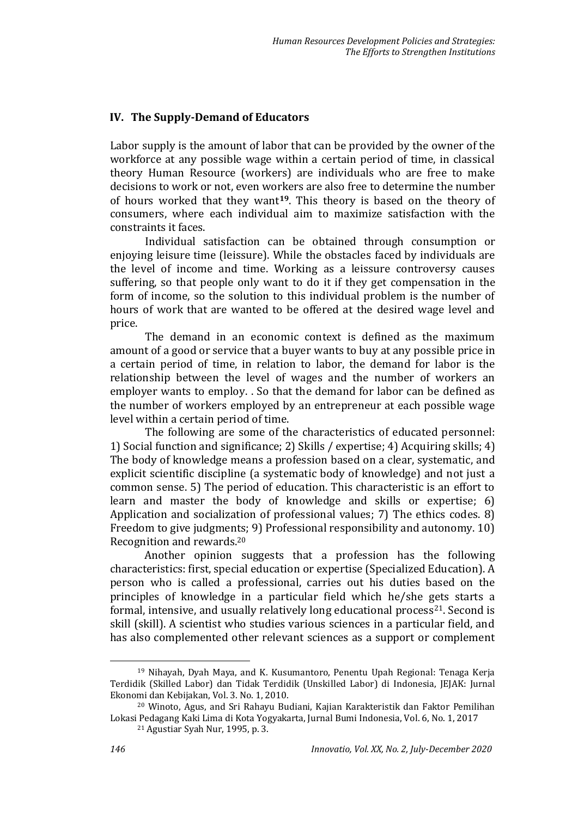## **IV. The Supply-Demand of Educators**

Labor supply is the amount of labor that can be provided by the owner of the workforce at any possible wage within a certain period of time, in classical theory Human Resource (workers) are individuals who are free to make decisions to work or not, even workers are also free to determine the number of hours worked that they want**19**. This theory is based on the theory of consumers, where each individual aim to maximize satisfaction with the constraints it faces.

Individual satisfaction can be obtained through consumption or enjoying leisure time (leissure). While the obstacles faced by individuals are the level of income and time. Working as a leissure controversy causes suffering, so that people only want to do it if they get compensation in the form of income, so the solution to this individual problem is the number of hours of work that are wanted to be offered at the desired wage level and price.

The demand in an economic context is defined as the maximum amount of a good or service that a buyer wants to buy at any possible price in a certain period of time, in relation to labor, the demand for labor is the relationship between the level of wages and the number of workers an employer wants to employ. . So that the demand for labor can be defined as the number of workers employed by an entrepreneur at each possible wage level within a certain period of time.

The following are some of the characteristics of educated personnel: 1) Social function and significance; 2) Skills / expertise; 4) Acquiring skills; 4) The body of knowledge means a profession based on a clear, systematic, and explicit scientific discipline (a systematic body of knowledge) and not just a common sense. 5) The period of education. This characteristic is an effort to learn and master the body of knowledge and skills or expertise; 6) Application and socialization of professional values; 7) The ethics codes. 8) Freedom to give judgments; 9) Professional responsibility and autonomy. 10) Recognition and rewards.<sup>20</sup>

Another opinion suggests that a profession has the following characteristics: first, special education or expertise (Specialized Education). A person who is called a professional, carries out his duties based on the principles of knowledge in a particular field which he/she gets starts a formal, intensive, and usually relatively long educational process<sup>21</sup>. Second is skill (skill). A scientist who studies various sciences in a particular field, and has also complemented other relevant sciences as a support or complement

<sup>19</sup> Nihayah, Dyah Maya, and K. Kusumantoro, Penentu Upah Regional: Tenaga Kerja Terdidik (Skilled Labor) dan Tidak Terdidik (Unskilled Labor) di Indonesia, JEJAK: Jurnal Ekonomi dan Kebijakan, Vol. 3. No. 1, 2010.

<sup>20</sup> Winoto, Agus, and Sri Rahayu Budiani, Kajian Karakteristik dan Faktor Pemilihan Lokasi Pedagang Kaki Lima di Kota Yogyakarta, Jurnal Bumi Indonesia, Vol. 6, No. 1, 2017

<sup>21</sup> Agustiar Syah Nur, 1995, p. 3.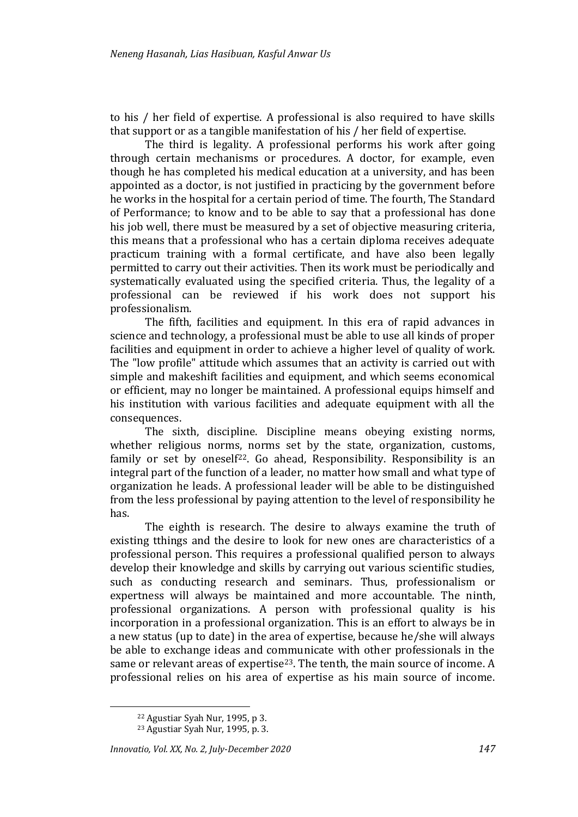to his / her field of expertise. A professional is also required to have skills that support or as a tangible manifestation of his / her field of expertise.

The third is legality. A professional performs his work after going through certain mechanisms or procedures. A doctor, for example, even though he has completed his medical education at a university, and has been appointed as a doctor, is not justified in practicing by the government before he works in the hospital for a certain period of time. The fourth, The Standard of Performance; to know and to be able to say that a professional has done his job well, there must be measured by a set of objective measuring criteria, this means that a professional who has a certain diploma receives adequate practicum training with a formal certificate, and have also been legally permitted to carry out their activities. Then its work must be periodically and systematically evaluated using the specified criteria. Thus, the legality of a professional can be reviewed if his work does not support his professionalism.

The fifth, facilities and equipment. In this era of rapid advances in science and technology, a professional must be able to use all kinds of proper facilities and equipment in order to achieve a higher level of quality of work. The "low profile" attitude which assumes that an activity is carried out with simple and makeshift facilities and equipment, and which seems economical or efficient, may no longer be maintained. A professional equips himself and his institution with various facilities and adequate equipment with all the consequences.

The sixth, discipline. Discipline means obeying existing norms, whether religious norms, norms set by the state, organization, customs, family or set by oneself<sup>22</sup>. Go ahead, Responsibility. Responsibility is an integral part of the function of a leader, no matter how small and what type of organization he leads. A professional leader will be able to be distinguished from the less professional by paying attention to the level of responsibility he has.

The eighth is research. The desire to always examine the truth of existing tthings and the desire to look for new ones are characteristics of a professional person. This requires a professional qualified person to always develop their knowledge and skills by carrying out various scientific studies, such as conducting research and seminars. Thus, professionalism or expertness will always be maintained and more accountable. The ninth, professional organizations. A person with professional quality is his incorporation in a professional organization. This is an effort to always be in a new status (up to date) in the area of expertise, because he/she will always be able to exchange ideas and communicate with other professionals in the same or relevant areas of expertise<sup>23</sup>. The tenth, the main source of income. A professional relies on his area of expertise as his main source of income.

<sup>22</sup> Agustiar Syah Nur, 1995, p 3.

<sup>23</sup> Agustiar Syah Nur, 1995, p. 3.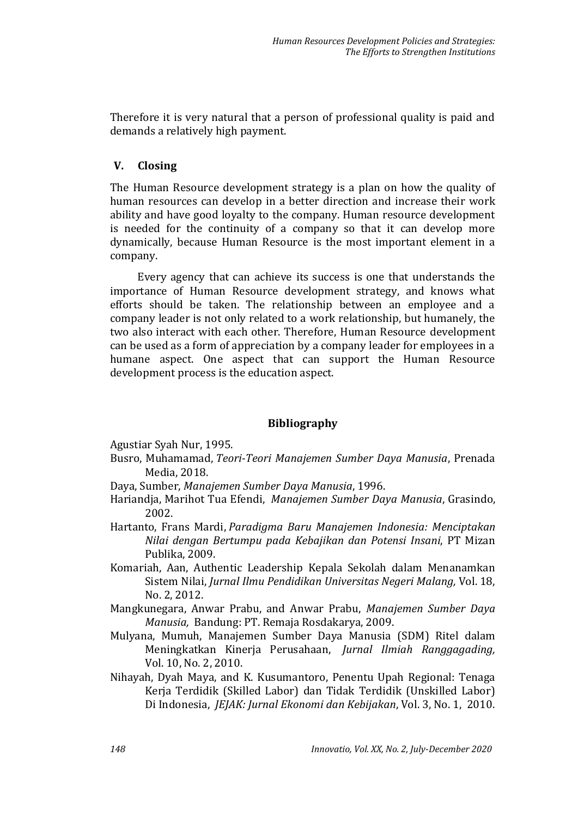Therefore it is very natural that a person of professional quality is paid and demands a relatively high payment.

## **V. Closing**

The Human Resource development strategy is a plan on how the quality of human resources can develop in a better direction and increase their work ability and have good loyalty to the company. Human resource development is needed for the continuity of a company so that it can develop more dynamically, because Human Resource is the most important element in a company.

Every agency that can achieve its success is one that understands the importance of Human Resource development strategy, and knows what efforts should be taken. The relationship between an employee and a company leader is not only related to a work relationship, but humanely, the two also interact with each other. Therefore, Human Resource development can be used as a form of appreciation by a company leader for employees in a humane aspect. One aspect that can support the Human Resource development process is the education aspect.

# **Bibliography**

Agustiar Syah Nur, 1995.

- Busro, Muhamamad, *Teori-Teori Manajemen Sumber Daya Manusia*, Prenada Media, 2018.
- Daya, Sumber, *Manajemen Sumber Daya Manusia*, 1996.
- Hariandja, Marihot Tua Efendi, *Manajemen Sumber Daya Manusia*, Grasindo, 2002.
- Hartanto, Frans Mardi, *Paradigma Baru Manajemen Indonesia: Menciptakan Nilai dengan Bertumpu pada Kebajikan dan Potensi Insani*, PT Mizan Publika, 2009.
- Komariah, Aan, Authentic Leadership Kepala Sekolah dalam Menanamkan Sistem Nilai, *Jurnal Ilmu Pendidikan Universitas Negeri Malang,* Vol. 18, No. 2, 2012.
- Mangkunegara, Anwar Prabu, and Anwar Prabu, *Manajemen Sumber Daya Manusia,* Bandung: PT. Remaja Rosdakarya, 2009.
- Mulyana, Mumuh, Manajemen Sumber Daya Manusia (SDM) Ritel dalam Meningkatkan Kinerja Perusahaan, *Jurnal Ilmiah Ranggagading,*  Vol. 10, No. 2, 2010.
- Nihayah, Dyah Maya, and K. Kusumantoro, Penentu Upah Regional: Tenaga Kerja Terdidik (Skilled Labor) dan Tidak Terdidik (Unskilled Labor) Di Indonesia, *JEJAK: Jurnal Ekonomi dan Kebijakan*, Vol. 3, No. 1, 2010.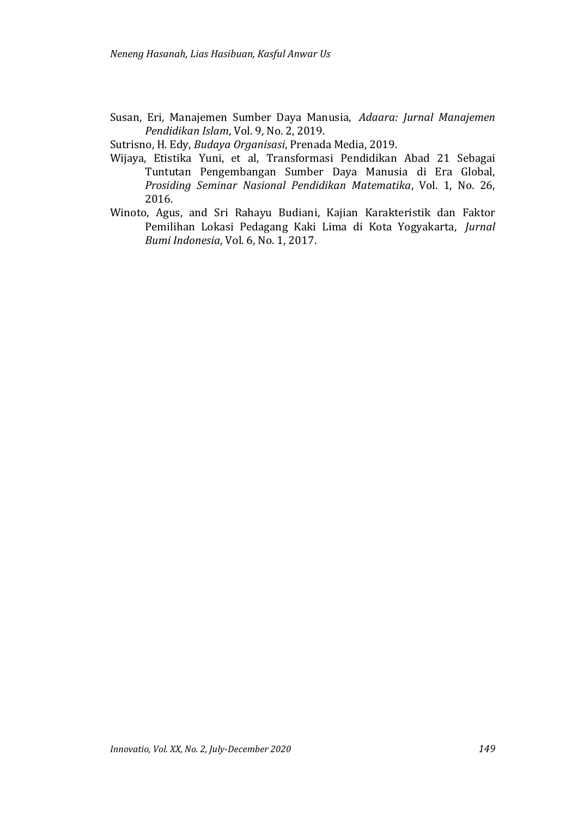Susan, Eri, Manajemen Sumber Daya Manusia, *Adaara: Jurnal Manajemen Pendidikan Islam*, Vol. 9, No. 2, 2019.

Sutrisno, H. Edy, *Budaya Organisasi*, Prenada Media, 2019.

- Wijaya, Etistika Yuni, et al, Transformasi Pendidikan Abad 21 Sebagai Tuntutan Pengembangan Sumber Daya Manusia di Era Global, *Prosiding Seminar Nasional Pendidikan Matematika*, Vol. 1, No. 26, 2016.
- Winoto, Agus, and Sri Rahayu Budiani, Kajian Karakteristik dan Faktor Pemilihan Lokasi Pedagang Kaki Lima di Kota Yogyakarta, *Jurnal Bumi Indonesia*, Vol. 6, No. 1, 2017.